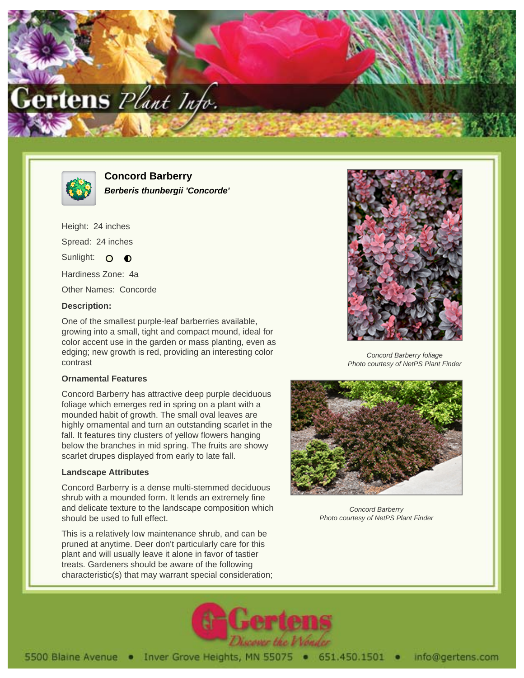



**Concord Barberry Berberis thunbergii 'Concorde'**

Height: 24 inches Spread: 24 inches Sunlight: O O Hardiness Zone: 4a

Other Names: Concorde

# **Description:**

One of the smallest purple-leaf barberries available, growing into a small, tight and compact mound, ideal for color accent use in the garden or mass planting, even as edging; new growth is red, providing an interesting color contrast

#### **Ornamental Features**

Concord Barberry has attractive deep purple deciduous foliage which emerges red in spring on a plant with a mounded habit of growth. The small oval leaves are highly ornamental and turn an outstanding scarlet in the fall. It features tiny clusters of yellow flowers hanging below the branches in mid spring. The fruits are showy scarlet drupes displayed from early to late fall.

# **Landscape Attributes**

Concord Barberry is a dense multi-stemmed deciduous shrub with a mounded form. It lends an extremely fine and delicate texture to the landscape composition which should be used to full effect.

This is a relatively low maintenance shrub, and can be pruned at anytime. Deer don't particularly care for this plant and will usually leave it alone in favor of tastier treats. Gardeners should be aware of the following characteristic(s) that may warrant special consideration;



Concord Barberry foliage Photo courtesy of NetPS Plant Finder



Concord Barberry Photo courtesy of NetPS Plant Finder